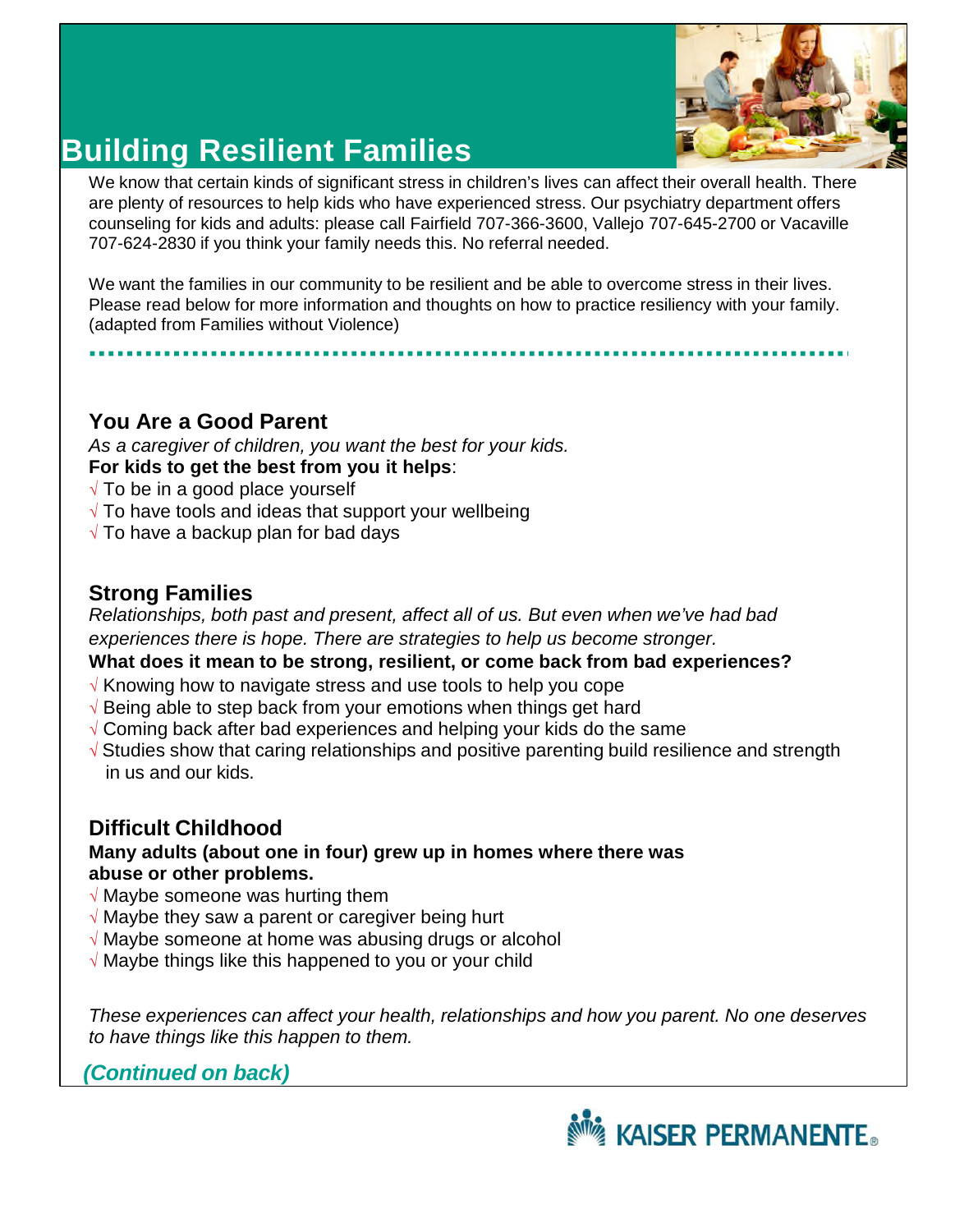

# **Building Resilient Families**

We know that certain kinds of significant stress in children's lives can affect their overall health. There are plenty of resources to help kids who have experienced stress. Our psychiatry department offers counseling for kids and adults: please call Fairfield 707-366-3600, Vallejo 707-645-2700 or Vacaville 707-624-2830 if you think your family needs this. No referral needed.

We want the families in our community to be resilient and be able to overcome stress in their lives. Please read below for more information and thoughts on how to practice resiliency with your family. (adapted from Families without Violence)

## **You Are a Good Parent**

*As a caregiver of children, you want the best for your kids.*  **For kids to get the best from you it helps**:

- √ To be in a good place yourself
- $\sqrt{T}$  To have tools and ideas that support your wellbeing
- √ To have a backup plan for bad days

#### **Strong Families**

*Relationships, both past and present, affect all of us. But even when we've had bad experiences there is hope. There are strategies to help us become stronger.* 

#### **What does it mean to be strong, resilient, or come back from bad experiences?**

- √ Knowing how to navigate stress and use tools to help you cope
- √ Being able to step back from your emotions when things get hard
- √ Coming back after bad experiences and helping your kids do the same
- √ Studies show that caring relationships and positive parenting build resilience and strength in us and our kids.

## **Difficult Childhood**

#### **Many adults (about one in four) grew up in homes where there was abuse or other problems.**

- $\sqrt{ }$  Maybe someone was hurting them
- $\sqrt{ }$  Maybe they saw a parent or caregiver being hurt
- √ Maybe someone at home was abusing drugs or alcohol
- √ Maybe things like this happened to you or your child

*These experiences can affect your health, relationships and how you parent. No one deserves to have things like this happen to them.* 

## *(Continued on back)*